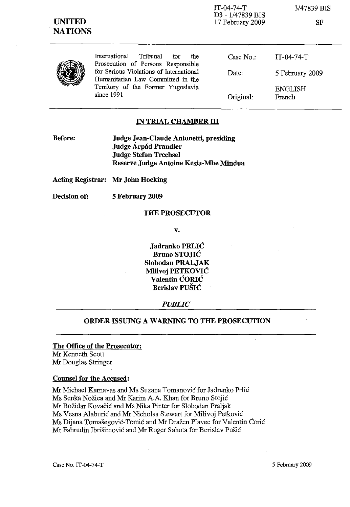

IT-04-74-T D3 - 1/47839 BIS 17 February 2009

3/47839 BIS

SF

|  | Internation |
|--|-------------|
|  | Prosecutic  |
|  | for Seriou  |
|  | Humanitar   |
|  | Territory   |
|  |             |

nal Tribunal for the on of Persons Responsible as Violations of International rian Law Committed in the of the Former Yugoslavia since 1991

Case No.: Date: Original: IT-04-74-T 5 February 2009 ENGLISH French

## **IN TRIAL CHAMBER III**

**Before: Judge Jean-Claude Antonetti, presiding Judge Arpad Prandler Judge Stefan Trechsel** Reserve Judge **Antoine** Kesia-Mbe **Mindua**

**Acting Registrar: Mr John Hocking**

**Decision of: 5 February 2009**

#### **THE PROSECUTOR**

**v.**

**Jadranko PRLIC Bruno STOJIC Siobodan PRALJAK Milivoj PETKOVIC Valentin CORIC Berislav PUSIC**

#### *PUBLIC*

# **ORDER ISSUING A WARNING TO THE PROSECUTION**

# **The Office of the Prosecutor:**

Mr Kenneth Scott Mr Douglas Stringer

#### **Counsel for the Accused:**

Mr Michael Karnavas and Ms Suzana Tomanovic for Jadranko Prlic Ms Senka Nožica and Mr Karim A.A. Khan for Bruno Stojić Mr Bozidar Kovacic and Ms Nika Pinter for Slobodan Praljak Ms Vesna Alaburic and Mr Nicholas Stewart for Milivoj Petkovic Ms Dijana Tomasegovic-Tomic and Mr Drazen Plavec for Valentin Coric Mr Fahrudin Ibrisimovic and Mr Roger Sahota for Berislav Pusic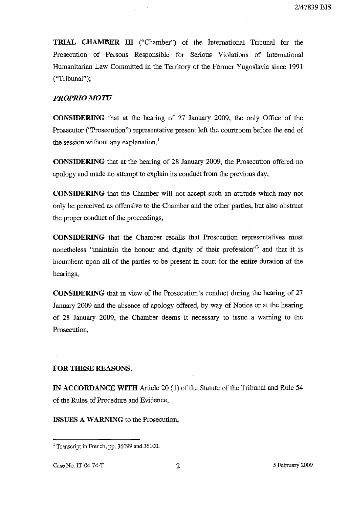**TRIAL CHAMBER III** ("Chamber") of the International Tribunal for the Prosecution of Persons Responsible for Serious Violations of International Humanitarian Law Committed in the Territory of the Former Yugoslavia since 1991 ("Tribunal");

## *PROPRIO MOTU*

**CONSIDERING** that at the hearing of 27 January 2009, the only Office of the Prosecutor ("Prosecution") representative present left the courtroom before the end of the session without any explanation,<sup>1</sup>

**CONSIDERING** that at the hearing of 28 January 2009, the Prosecution offered no apology and made no attempt to explain its conduct from the previous day,

**CONSIDERING** that the Chamber will not accept such an attitude which may not only be perceived as offensive to the Chamber and the other parties, but also obstruct the proper conduct of the proceedings,

**CONSIDERING** that the Chamber recalls that Prosecution representatives must nonetheless "maintain the honour and dignity of their profession"<sup>2</sup> and that it is incumbent upon all of the parties to be present in court for the entire duration of the hearings,

**CONSIDERING** that in view of the Prosecution's conduct during the hearing of 27 January 2009 and the absence of apology offered, by way of Notice or at the hearing of 28 January 2009, the Chamber deems it necessary to issue a warning to the Prosecution,

#### **FOR THESE REASONS,**

**IN ACCORDANCE WITH** Article 20 (1) of the Statute of the Tribunal and Rule 54 of the Rules of Procedure and Evidence,

**ISSUES A WARNING** to the Prosecution,

<sup>&</sup>lt;sup>1</sup> Transcript in French, pp. 36099 and 36100.